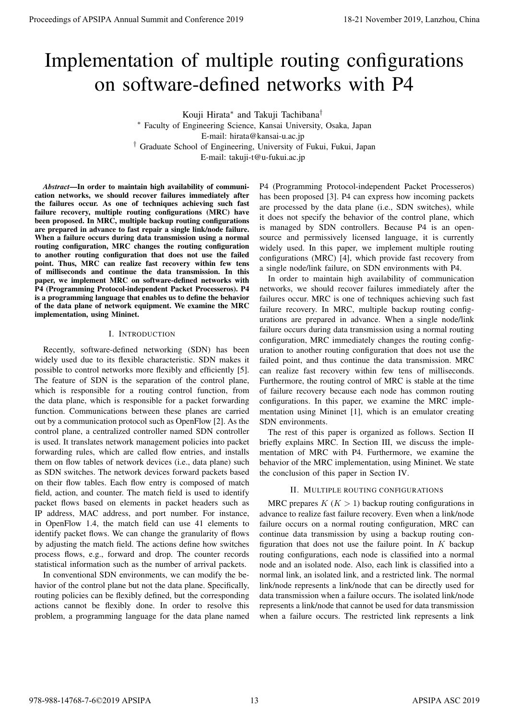# Implementation of multiple routing configurations on software-defined networks with P4

Kouji Hirata*<sup>∗</sup>* and Takuji Tachibana*† <sup>∗</sup>* Faculty of Engineering Science, Kansai University, Osaka, Japan E-mail: hirata@kansai-u.ac.jp *†* Graduate School of Engineering, University of Fukui, Fukui, Japan E-mail: takuji-t@u-fukui.ac.jp

*Abstract*—In order to maintain high availability of communication networks, we should recover failures immediately after the failures occur. As one of techniques achieving such fast failure recovery, multiple routing configurations (MRC) have been proposed. In MRC, multiple backup routing configurations are prepared in advance to fast repair a single link/node failure. When a failure occurs during data transmission using a normal routing configuration, MRC changes the routing configuration to another routing configuration that does not use the failed point. Thus, MRC can realize fast recovery within few tens of milliseconds and continue the data transmission. In this paper, we implement MRC on software-defined networks with P4 (Programming Protocol-independent Packet Processeros). P4 is a programming language that enables us to define the behavior of the data plane of network equipment. We examine the MRC implementation, using Mininet.

## I. INTRODUCTION

Recently, software-defined networking (SDN) has been widely used due to its flexible characteristic. SDN makes it possible to control networks more flexibly and efficiently [5]. The feature of SDN is the separation of the control plane, which is responsible for a routing control function, from the data plane, which is responsible for a packet forwarding function. Communications between these planes are carried out by a communication protocol such as OpenFlow [2]. As the control plane, a centralized controller named SDN controller is used. It translates network management policies into packet forwarding rules, which are called flow entries, and installs them on flow tables of network devices (i.e., data plane) such as SDN switches. The network devices forward packets based on their flow tables. Each flow entry is composed of match field, action, and counter. The match field is used to identify packet flows based on elements in packet headers such as IP address, MAC address, and port number. For instance, in OpenFlow 1.4, the match field can use 41 elements to identify packet flows. We can change the granularity of flows by adjusting the match field. The actions define how switches process flows, e.g., forward and drop. The counter records statistical information such as the number of arrival packets. **Proceedings of APSIPA Annual Summit and Conference 2019**<br> **Conference 2019 18: Conference 2019 18: Conference 2019 18: Conference 2019 18: Conference 2019 18: Conference 2019 18: Conference 2019 18: Confere** 

In conventional SDN environments, we can modify the behavior of the control plane but not the data plane. Specifically, routing policies can be flexibly defined, but the corresponding actions cannot be flexibly done. In order to resolve this problem, a programming language for the data plane named

P4 (Programming Protocol-independent Packet Processeros) has been proposed [3]. P4 can express how incoming packets are processed by the data plane (i.e., SDN switches), while it does not specify the behavior of the control plane, which is managed by SDN controllers. Because P4 is an opensource and permissively licensed language, it is currently widely used. In this paper, we implement multiple routing configurations (MRC) [4], which provide fast recovery from a single node/link failure, on SDN environments with P4.

In order to maintain high availability of communication networks, we should recover failures immediately after the failures occur. MRC is one of techniques achieving such fast failure recovery. In MRC, multiple backup routing configurations are prepared in advance. When a single node/link failure occurs during data transmission using a normal routing configuration, MRC immediately changes the routing configuration to another routing configuration that does not use the failed point, and thus continue the data transmission. MRC can realize fast recovery within few tens of milliseconds. Furthermore, the routing control of MRC is stable at the time of failure recovery because each node has common routing configurations. In this paper, we examine the MRC implementation using Mininet [1], which is an emulator creating SDN environments.

The rest of this paper is organized as follows. Section II briefly explains MRC. In Section III, we discuss the implementation of MRC with P4. Furthermore, we examine the behavior of the MRC implementation, using Mininet. We state the conclusion of this paper in Section IV.

### II. MULTIPLE ROUTING CONFIGURATIONS

MRC prepares  $K(K > 1)$  backup routing configurations in advance to realize fast failure recovery. Even when a link/node failure occurs on a normal routing configuration, MRC can continue data transmission by using a backup routing configuration that does not use the failure point. In *K* backup routing configurations, each node is classified into a normal node and an isolated node. Also, each link is classified into a normal link, an isolated link, and a restricted link. The normal link/node represents a link/node that can be directly used for data transmission when a failure occurs. The isolated link/node represents a link/node that cannot be used for data transmission when a failure occurs. The restricted link represents a link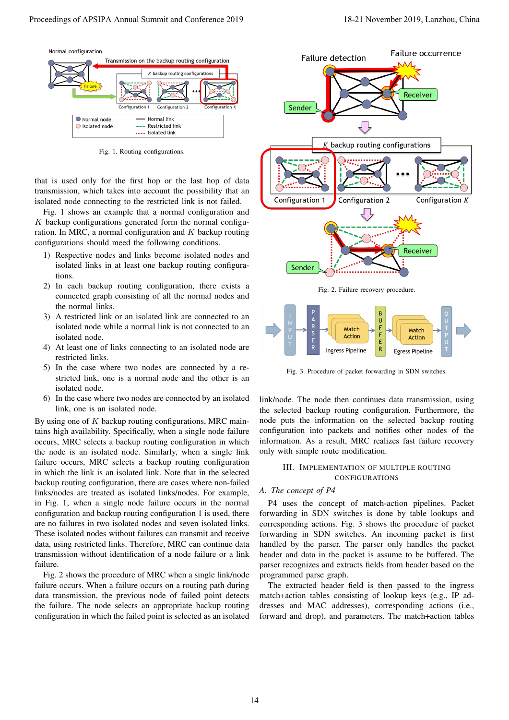

Fig. 1. Routing configurations.

that is used only for the first hop or the last hop of data transmission, which takes into account the possibility that an isolated node connecting to the restricted link is not failed.

Fig. 1 shows an example that a normal configuration and *K* backup configurations generated form the normal configuration. In MRC, a normal configuration and *K* backup routing configurations should meed the following conditions.

- 1) Respective nodes and links become isolated nodes and isolated links in at least one backup routing configurations.
- 2) In each backup routing configuration, there exists a connected graph consisting of all the normal nodes and the normal links.
- 3) A restricted link or an isolated link are connected to an isolated node while a normal link is not connected to an isolated node.
- 4) At least one of links connecting to an isolated node are restricted links.
- 5) In the case where two nodes are connected by a restricted link, one is a normal node and the other is an isolated node.
- 6) In the case where two nodes are connected by an isolated link, one is an isolated node.

By using one of *K* backup routing configurations, MRC maintains high availability. Specifically, when a single node failure occurs, MRC selects a backup routing configuration in which the node is an isolated node. Similarly, when a single link failure occurs, MRC selects a backup routing configuration in which the link is an isolated link. Note that in the selected backup routing configuration, there are cases where non-failed links/nodes are treated as isolated links/nodes. For example, in Fig. 1, when a single node failure occurs in the normal configuration and backup routing configuration 1 is used, there are no failures in two isolated nodes and seven isolated links. These isolated nodes without failures can transmit and receive data, using restricted links. Therefore, MRC can continue data transmission without identification of a node failure or a link failure.

Fig. 2 shows the procedure of MRC when a single link/node failure occurs. When a failure occurs on a routing path during data transmission, the previous node of failed point detects the failure. The node selects an appropriate backup routing configuration in which the failed point is selected as an isolated



Fig. 3. Procedure of packet forwarding in SDN switches.

link/node. The node then continues data transmission, using the selected backup routing configuration. Furthermore, the node puts the information on the selected backup routing configuration into packets and notifies other nodes of the information. As a result, MRC realizes fast failure recovery only with simple route modification.

## III. IMPLEMENTATION OF MULTIPLE ROUTING CONFIGURATIONS

# *A. The concept of P4*

P4 uses the concept of match-action pipelines. Packet forwarding in SDN switches is done by table lookups and corresponding actions. Fig. 3 shows the procedure of packet forwarding in SDN switches. An incoming packet is first handled by the parser. The parser only handles the packet header and data in the packet is assume to be buffered. The parser recognizes and extracts fields from header based on the programmed parse graph.

The extracted header field is then passed to the ingress match+action tables consisting of lookup keys (e.g., IP addresses and MAC addresses), corresponding actions (i.e., forward and drop), and parameters. The match+action tables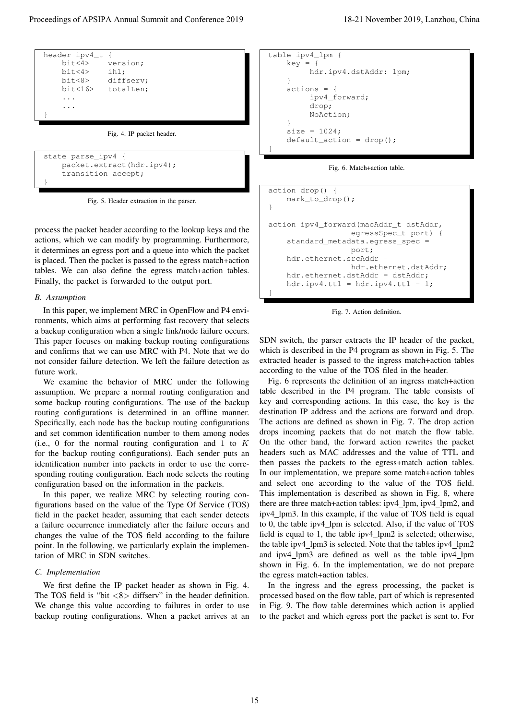```
header ipv4_t {
    bit<4> version;
    bit<4> ihl;
    bit<8>
diffserv;<br>
bit<16>
totalLen:
                 totalLen;
     ...
     ...
}
```
Fig. 4. IP packet header.

```
state parse_ipv4 {
   packet.extract(hdr.ipv4);
    transition accept;
}
```
Fig. 5. Header extraction in the parser.

process the packet header according to the lookup keys and the actions, which we can modify by programming. Furthermore, it determines an egress port and a queue into which the packet is placed. Then the packet is passed to the egress match+action tables. We can also define the egress match+action tables. Finally, the packet is forwarded to the output port.

## *B. Assumption*

In this paper, we implement MRC in OpenFlow and P4 environments, which aims at performing fast recovery that selects a backup configuration when a single link/node failure occurs. This paper focuses on making backup routing configurations and confirms that we can use MRC with P4. Note that we do not consider failure detection. We left the failure detection as future work.

We examine the behavior of MRC under the following assumption. We prepare a normal routing configuration and some backup routing configurations. The use of the backup routing configurations is determined in an offline manner. Specifically, each node has the backup routing configurations and set common identification number to them among nodes (i.e., 0 for the normal routing configuration and 1 to *K* for the backup routing configurations). Each sender puts an identification number into packets in order to use the corresponding routing configuration. Each node selects the routing configuration based on the information in the packets.

In this paper, we realize MRC by selecting routing configurations based on the value of the Type Of Service (TOS) field in the packet header, assuming that each sender detects a failure occurrence immediately after the failure occurs and changes the value of the TOS field according to the failure point. In the following, we particularly explain the implementation of MRC in SDN switches.

### *C. Implementation*

We first define the IP packet header as shown in Fig. 4. The TOS field is "bit *<*8*>* diffserv" in the header definition. We change this value according to failures in order to use backup routing configurations. When a packet arrives at an

```
table ipv4_lpm {
    key = \{hdr.ipv4.dstAddr: lpm;
    }
    actions = {
         ipv4_forward;
         drop;
         NoAction;
    }
    size = 1024;
    default_action = drop();
}
```


```
action drop() {
    mark_to_drop();
}
action ipv4_forward(macAddr_t dstAddr,
                   egressSpec_t port) {
    standard_metadata.egress_spec =
                   port;
    hdr.ethernet.srcAddr =
                   hdr.ethernet.dstAddr;
    hdr.ethernet.dstAddr = dstAddr;
    \text{hdr.ipv4.ttl} = \text{hdr.ipv4.ttl} - 1;}
```
Fig. 7. Action definition.

SDN switch, the parser extracts the IP header of the packet, which is described in the P4 program as shown in Fig. 5. The extracted header is passed to the ingress match+action tables according to the value of the TOS filed in the header.

Fig. 6 represents the definition of an ingress match+action table described in the P4 program. The table consists of key and corresponding actions. In this case, the key is the destination IP address and the actions are forward and drop. The actions are defined as shown in Fig. 7. The drop action drops incoming packets that do not match the flow table. On the other hand, the forward action rewrites the packet headers such as MAC addresses and the value of TTL and then passes the packets to the egress+match action tables. In our implementation, we prepare some match+action tables and select one according to the value of the TOS field. This implementation is described as shown in Fig. 8, where there are three match+action tables: ipv4\_lpm, ipv4\_lpm2, and ipv4 lpm3. In this example, if the value of TOS field is equal to 0, the table ipv4 lpm is selected. Also, if the value of TOS field is equal to 1, the table ipv4\_lpm2 is selected; otherwise, the table ipv4\_lpm3 is selected. Note that the tables ipv4\_lpm2 and ipv4 lpm3 are defined as well as the table ipv4 lpm shown in Fig. 6. In the implementation, we do not prepare the egress match+action tables. Proceedings of APSIPA Annual Summit and Conference 2019<br>
Proceedings of APSIPA Annual Summit and Conference 2019<br>
Proceedings of APSIPA Annual Summit and Conference 2019<br>
Proceedings of APSIPA Annual Summit and Conference

In the ingress and the egress processing, the packet is processed based on the flow table, part of which is represented in Fig. 9. The flow table determines which action is applied to the packet and which egress port the packet is sent to. For